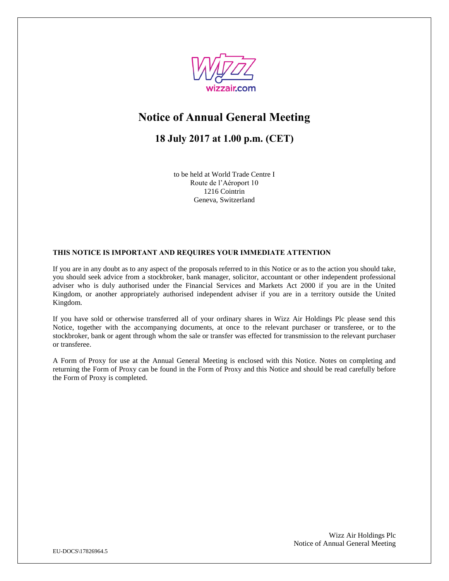

# **Notice of Annual General Meeting**

## **18 July 2017 at 1.00 p.m. (CET)**

to be held at World Trade Centre I Route de l'Aéroport 10 1216 Cointrin Geneva, Switzerland

## **THIS NOTICE IS IMPORTANT AND REQUIRES YOUR IMMEDIATE ATTENTION**

If you are in any doubt as to any aspect of the proposals referred to in this Notice or as to the action you should take, you should seek advice from a stockbroker, bank manager, solicitor, accountant or other independent professional adviser who is duly authorised under the Financial Services and Markets Act 2000 if you are in the United Kingdom, or another appropriately authorised independent adviser if you are in a territory outside the United Kingdom.

If you have sold or otherwise transferred all of your ordinary shares in Wizz Air Holdings Plc please send this Notice, together with the accompanying documents, at once to the relevant purchaser or transferee, or to the stockbroker, bank or agent through whom the sale or transfer was effected for transmission to the relevant purchaser or transferee.

A Form of Proxy for use at the Annual General Meeting is enclosed with this Notice. Notes on completing and returning the Form of Proxy can be found in the Form of Proxy and this Notice and should be read carefully before the Form of Proxy is completed.

> Wizz Air Holdings Plc Notice of Annual General Meeting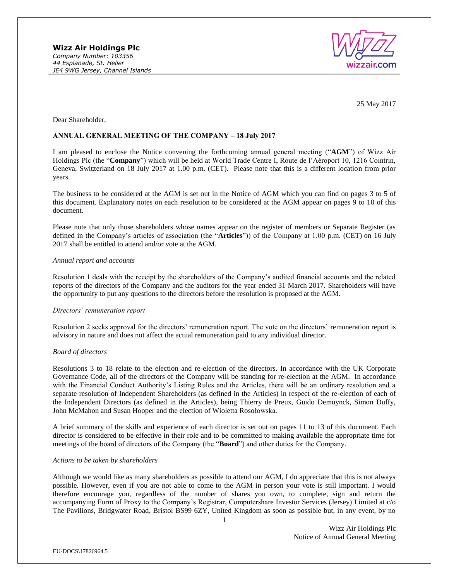

25 May 2017

Dear Shareholder,

#### **ANNUAL GENERAL MEETING OF THE COMPANY – 18 July 2017**

I am pleased to enclose the Notice convening the forthcoming annual general meeting ("**AGM**") of Wizz Air Holdings Plc (the "**Company**") which will be held at World Trade Centre I, Route de l'Aéroport 10, 1216 Cointrin, Geneva, Switzerland on 18 July 2017 at 1.00 p.m. (CET). Please note that this is a different location from prior years.

The business to be considered at the AGM is set out in the Notice of AGM which you can find on pages 3 to 5 of this document. Explanatory notes on each resolution to be considered at the AGM appear on pages 9 to 10 of this document.

Please note that only those shareholders whose names appear on the register of members or Separate Register (as defined in the Company's articles of association (the "**Articles**")) of the Company at 1.00 p.m. (CET) on 16 July 2017 shall be entitled to attend and/or vote at the AGM.

#### *Annual report and accounts*

Resolution 1 deals with the receipt by the shareholders of the Company's audited financial accounts and the related reports of the directors of the Company and the auditors for the year ended 31 March 2017. Shareholders will have the opportunity to put any questions to the directors before the resolution is proposed at the AGM.

#### *Directors' remuneration report*

Resolution 2 seeks approval for the directors' remuneration report. The vote on the directors' remuneration report is advisory in nature and does not affect the actual remuneration paid to any individual director.

#### *Board of directors*

Resolutions 3 to 18 relate to the election and re-election of the directors. In accordance with the UK Corporate Governance Code, all of the directors of the Company will be standing for re-election at the AGM. In accordance with the Financial Conduct Authority's Listing Rules and the Articles, there will be an ordinary resolution and a separate resolution of Independent Shareholders (as defined in the Articles) in respect of the re-election of each of the Independent Directors (as defined in the Articles), being Thierry de Preux, Guido Demuynck, Simon Duffy, John McMahon and Susan Hooper and the election of Wioletta Rosołowska.

A brief summary of the skills and experience of each director is set out on pages 11 to 13 of this document. Each director is considered to be effective in their role and to be committed to making available the appropriate time for meetings of the board of directors of the Company (the "**Board**") and other duties for the Company.

#### *Actions to be taken by shareholders*

Although we would like as many shareholders as possible to attend our AGM, I do appreciate that this is not always possible. However, even if you are not able to come to the AGM in person your vote is still important. I would therefore encourage you, regardless of the number of shares you own, to complete, sign and return the accompanying Form of Proxy to the Company's Registrar, Computershare Investor Services (Jersey) Limited at c/o The Pavilions, Bridgwater Road, Bristol BS99 6ZY, United Kingdom as soon as possible but, in any event, by no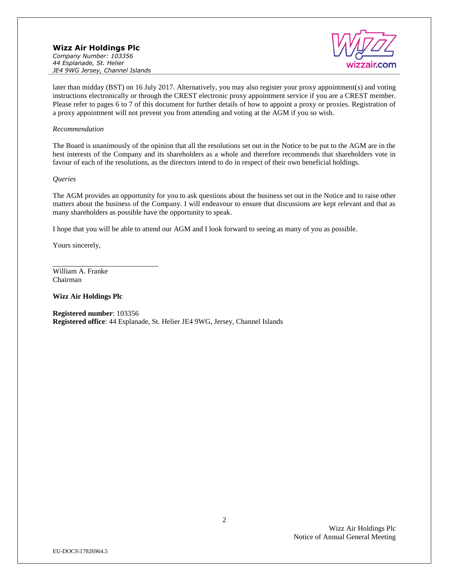

later than midday (BST) on 16 July 2017. Alternatively, you may also register your proxy appointment(s) and voting instructions electronically or through the CREST electronic proxy appointment service if you are a CREST member. Please refer to pages 6 to 7 of this document for further details of how to appoint a proxy or proxies. Registration of a proxy appointment will not prevent you from attending and voting at the AGM if you so wish.

#### *Recommendation*

The Board is unanimously of the opinion that all the resolutions set out in the Notice to be put to the AGM are in the best interests of the Company and its shareholders as a whole and therefore recommends that shareholders vote in favour of each of the resolutions, as the directors intend to do in respect of their own beneficial holdings.

#### *Queries*

The AGM provides an opportunity for you to ask questions about the business set out in the Notice and to raise other matters about the business of the Company. I will endeavour to ensure that discussions are kept relevant and that as many shareholders as possible have the opportunity to speak.

I hope that you will be able to attend our AGM and I look forward to seeing as many of you as possible.

Yours sincerely,

William A. Franke Chairman

**Wizz Air Holdings Plc**

**Registered number**: 103356 **Registered office**: 44 Esplanade, St. Helier JE4 9WG, Jersey, Channel Islands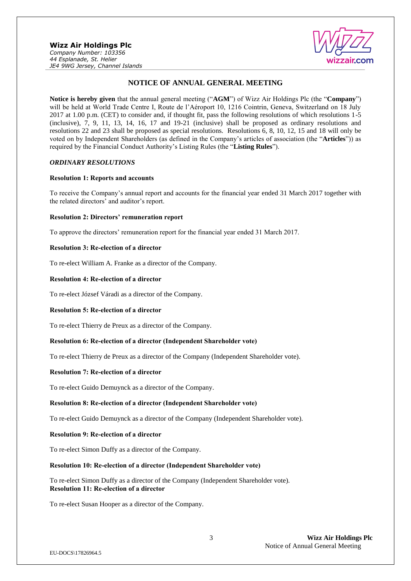

## **NOTICE OF ANNUAL GENERAL MEETING**

**Notice is hereby given** that the annual general meeting ("**AGM**") of Wizz Air Holdings Plc (the "**Company**") will be held at World Trade Centre I, Route de l'Aéroport 10, 1216 Cointrin, Geneva, Switzerland on 18 July 2017 at 1.00 p.m. (CET) to consider and, if thought fit, pass the following resolutions of which resolutions 1-5 (inclusive), 7, 9, 11, 13, 14, 16, 17 and 19-21 (inclusive) shall be proposed as ordinary resolutions and resolutions 22 and 23 shall be proposed as special resolutions. Resolutions 6, 8, 10, 12, 15 and 18 will only be voted on by Independent Shareholders (as defined in the Company's articles of association (the "**Articles**")) as required by the Financial Conduct Authority's Listing Rules (the "**Listing Rules**").

## *ORDINARY RESOLUTIONS*

#### **Resolution 1: Reports and accounts**

To receive the Company's annual report and accounts for the financial year ended 31 March 2017 together with the related directors' and auditor's report.

#### **Resolution 2: Directors' remuneration report**

To approve the directors' remuneration report for the financial year ended 31 March 2017.

#### **Resolution 3: Re-election of a director**

To re-elect William A. Franke as a director of the Company.

#### **Resolution 4: Re-election of a director**

To re-elect József Váradi as a director of the Company.

#### **Resolution 5: Re-election of a director**

To re-elect Thierry de Preux as a director of the Company.

## **Resolution 6: Re-election of a director (Independent Shareholder vote)**

To re-elect Thierry de Preux as a director of the Company (Independent Shareholder vote).

#### **Resolution 7: Re-election of a director**

To re-elect Guido Demuynck as a director of the Company.

#### **Resolution 8: Re-election of a director (Independent Shareholder vote)**

To re-elect Guido Demuynck as a director of the Company (Independent Shareholder vote).

#### **Resolution 9: Re-election of a director**

To re-elect Simon Duffy as a director of the Company.

### **Resolution 10: Re-election of a director (Independent Shareholder vote)**

To re-elect Simon Duffy as a director of the Company (Independent Shareholder vote). **Resolution 11: Re-election of a director**

To re-elect Susan Hooper as a director of the Company.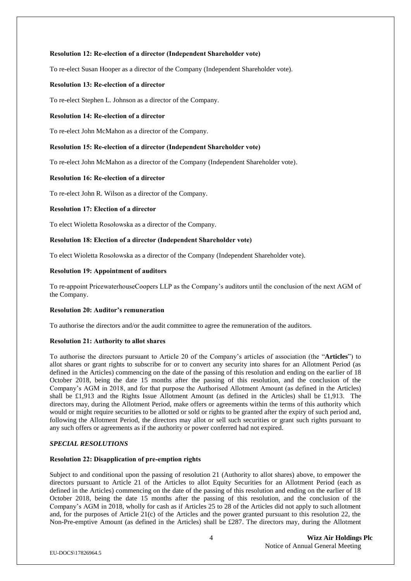## **Resolution 12: Re-election of a director (Independent Shareholder vote)**

To re-elect Susan Hooper as a director of the Company (Independent Shareholder vote).

#### **Resolution 13: Re-election of a director**

To re-elect Stephen L. Johnson as a director of the Company.

#### **Resolution 14: Re-election of a director**

To re-elect John McMahon as a director of the Company.

#### **Resolution 15: Re-election of a director (Independent Shareholder vote)**

To re-elect John McMahon as a director of the Company (Independent Shareholder vote).

### **Resolution 16: Re-election of a director**

To re-elect John R. Wilson as a director of the Company.

## **Resolution 17: Election of a director**

To elect Wioletta Rosołowska as a director of the Company.

#### **Resolution 18: Election of a director (Independent Shareholder vote)**

To elect Wioletta Rosołowska as a director of the Company (Independent Shareholder vote).

#### **Resolution 19: Appointment of auditors**

To re-appoint PricewaterhouseCoopers LLP as the Company's auditors until the conclusion of the next AGM of the Company.

### **Resolution 20: Auditor's remuneration**

To authorise the directors and/or the audit committee to agree the remuneration of the auditors.

#### **Resolution 21: Authority to allot shares**

To authorise the directors pursuant to Article 20 of the Company's articles of association (the "**Articles**") to allot shares or grant rights to subscribe for or to convert any security into shares for an Allotment Period (as defined in the Articles) commencing on the date of the passing of this resolution and ending on the earlier of 18 October 2018, being the date 15 months after the passing of this resolution, and the conclusion of the Company's AGM in 2018, and for that purpose the Authorised Allotment Amount (as defined in the Articles) shall be £1,913 and the Rights Issue Allotment Amount (as defined in the Articles) shall be £1,913. The directors may, during the Allotment Period, make offers or agreements within the terms of this authority which would or might require securities to be allotted or sold or rights to be granted after the expiry of such period and, following the Allotment Period, the directors may allot or sell such securities or grant such rights pursuant to any such offers or agreements as if the authority or power conferred had not expired.

## *SPECIAL RESOLUTIONS*

#### **Resolution 22: Disapplication of pre-emption rights**

Subject to and conditional upon the passing of resolution 21 (Authority to allot shares) above, to empower the directors pursuant to Article 21 of the Articles to allot Equity Securities for an Allotment Period (each as defined in the Articles) commencing on the date of the passing of this resolution and ending on the earlier of 18 October 2018, being the date 15 months after the passing of this resolution, and the conclusion of the Company's AGM in 2018, wholly for cash as if Articles 25 to 28 of the Articles did not apply to such allotment and, for the purposes of Article 21(c) of the Articles and the power granted pursuant to this resolution 22, the Non-Pre-emptive Amount (as defined in the Articles) shall be £287. The directors may, during the Allotment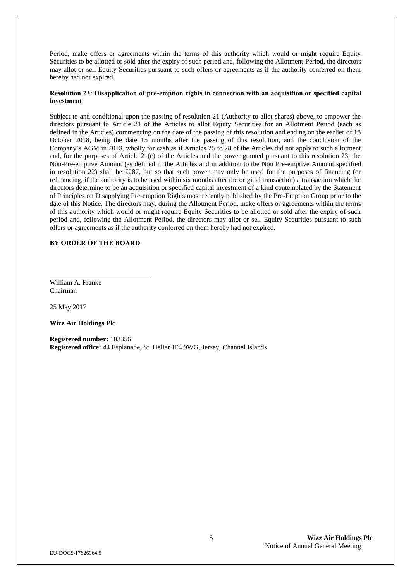Period, make offers or agreements within the terms of this authority which would or might require Equity Securities to be allotted or sold after the expiry of such period and, following the Allotment Period, the directors may allot or sell Equity Securities pursuant to such offers or agreements as if the authority conferred on them hereby had not expired.

## **Resolution 23: Disapplication of pre-emption rights in connection with an acquisition or specified capital investment**

Subject to and conditional upon the passing of resolution 21 (Authority to allot shares) above, to empower the directors pursuant to Article 21 of the Articles to allot Equity Securities for an Allotment Period (each as defined in the Articles) commencing on the date of the passing of this resolution and ending on the earlier of 18 October 2018, being the date 15 months after the passing of this resolution, and the conclusion of the Company's AGM in 2018, wholly for cash as if Articles 25 to 28 of the Articles did not apply to such allotment and, for the purposes of Article 21(c) of the Articles and the power granted pursuant to this resolution 23, the Non-Pre-emptive Amount (as defined in the Articles and in addition to the Non Pre-emptive Amount specified in resolution 22) shall be £287, but so that such power may only be used for the purposes of financing (or refinancing, if the authority is to be used within six months after the original transaction) a transaction which the directors determine to be an acquisition or specified capital investment of a kind contemplated by the Statement of Principles on Disapplying Pre-emption Rights most recently published by the Pre-Emption Group prior to the date of this Notice. The directors may, during the Allotment Period, make offers or agreements within the terms of this authority which would or might require Equity Securities to be allotted or sold after the expiry of such period and, following the Allotment Period, the directors may allot or sell Equity Securities pursuant to such offers or agreements as if the authority conferred on them hereby had not expired.

#### **BY ORDER OF THE BOARD**

William A. Franke Chairman

25 May 2017

**Wizz Air Holdings Plc**

**Registered number:** 103356 **Registered office:** 44 Esplanade, St. Helier JE4 9WG, Jersey, Channel Islands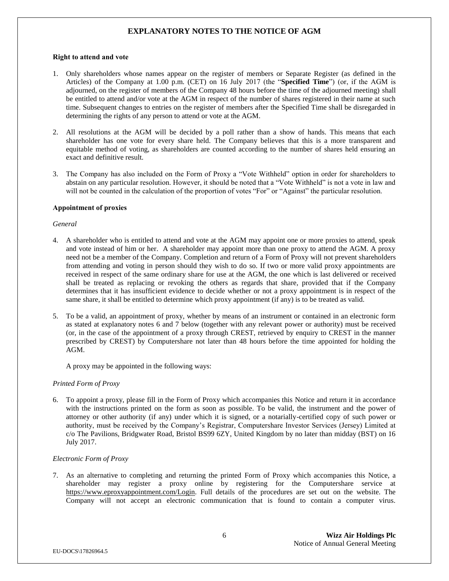## **EXPLANATORY NOTES TO THE NOTICE OF AGM**

#### **Right to attend and vote**

- 1. Only shareholders whose names appear on the register of members or Separate Register (as defined in the Articles) of the Company at 1.00 p.m. (CET) on 16 July 2017 (the "**Specified Time**") (or, if the AGM is adjourned, on the register of members of the Company 48 hours before the time of the adjourned meeting) shall be entitled to attend and/or vote at the AGM in respect of the number of shares registered in their name at such time. Subsequent changes to entries on the register of members after the Specified Time shall be disregarded in determining the rights of any person to attend or vote at the AGM.
- 2. All resolutions at the AGM will be decided by a poll rather than a show of hands. This means that each shareholder has one vote for every share held. The Company believes that this is a more transparent and equitable method of voting, as shareholders are counted according to the number of shares held ensuring an exact and definitive result.
- 3. The Company has also included on the Form of Proxy a "Vote Withheld" option in order for shareholders to abstain on any particular resolution. However, it should be noted that a "Vote Withheld" is not a vote in law and will not be counted in the calculation of the proportion of votes "For" or "Against" the particular resolution.

#### **Appointment of proxies**

#### *General*

- 4. A shareholder who is entitled to attend and vote at the AGM may appoint one or more proxies to attend, speak and vote instead of him or her. A shareholder may appoint more than one proxy to attend the AGM. A proxy need not be a member of the Company. Completion and return of a Form of Proxy will not prevent shareholders from attending and voting in person should they wish to do so. If two or more valid proxy appointments are received in respect of the same ordinary share for use at the AGM, the one which is last delivered or received shall be treated as replacing or revoking the others as regards that share, provided that if the Company determines that it has insufficient evidence to decide whether or not a proxy appointment is in respect of the same share, it shall be entitled to determine which proxy appointment (if any) is to be treated as valid.
- 5. To be a valid, an appointment of proxy, whether by means of an instrument or contained in an electronic form as stated at explanatory notes 6 and 7 below (together with any relevant power or authority) must be received (or, in the case of the appointment of a proxy through CREST, retrieved by enquiry to CREST in the manner prescribed by CREST) by Computershare not later than 48 hours before the time appointed for holding the AGM.

A proxy may be appointed in the following ways:

#### *Printed Form of Proxy*

6. To appoint a proxy, please fill in the Form of Proxy which accompanies this Notice and return it in accordance with the instructions printed on the form as soon as possible. To be valid, the instrument and the power of attorney or other authority (if any) under which it is signed, or a notarially-certified copy of such power or authority, must be received by the Company's Registrar, Computershare Investor Services (Jersey) Limited at c/o The Pavilions, Bridgwater Road, Bristol BS99 6ZY, United Kingdom by no later than midday (BST) on 16 July 2017.

#### *Electronic Form of Proxy*

7. As an alternative to completing and returning the printed Form of Proxy which accompanies this Notice, a shareholder may register a proxy online by registering for the Computershare service at [https://www.eproxyappointment.com/Login.](https://www.eproxyappointment.com/LOGIN) Full details of the procedures are set out on the website. The Company will not accept an electronic communication that is found to contain a computer virus.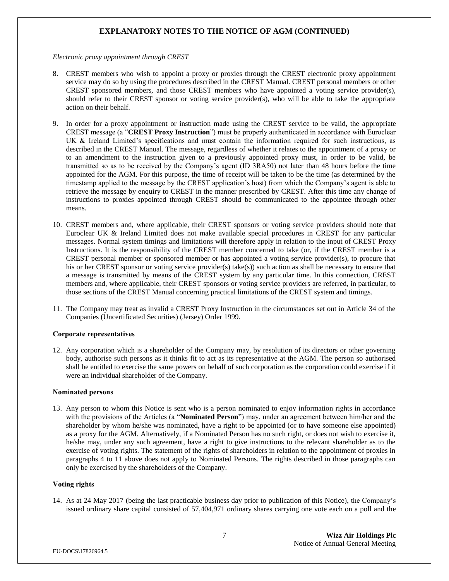## **EXPLANATORY NOTES TO THE NOTICE OF AGM (CONTINUED)**

*Electronic proxy appointment through CREST*

- 8. CREST members who wish to appoint a proxy or proxies through the CREST electronic proxy appointment service may do so by using the procedures described in the CREST Manual. CREST personal members or other CREST sponsored members, and those CREST members who have appointed a voting service provider(s), should refer to their CREST sponsor or voting service provider(s), who will be able to take the appropriate action on their behalf.
- 9. In order for a proxy appointment or instruction made using the CREST service to be valid, the appropriate CREST message (a "**CREST Proxy Instruction**") must be properly authenticated in accordance with Euroclear UK & Ireland Limited's specifications and must contain the information required for such instructions, as described in the CREST Manual. The message, regardless of whether it relates to the appointment of a proxy or to an amendment to the instruction given to a previously appointed proxy must, in order to be valid, be transmitted so as to be received by the Company's agent (ID 3RA50) not later than 48 hours before the time appointed for the AGM. For this purpose, the time of receipt will be taken to be the time (as determined by the timestamp applied to the message by the CREST application's host) from which the Company's agent is able to retrieve the message by enquiry to CREST in the manner prescribed by CREST. After this time any change of instructions to proxies appointed through CREST should be communicated to the appointee through other means.
- 10. CREST members and, where applicable, their CREST sponsors or voting service providers should note that Euroclear UK & Ireland Limited does not make available special procedures in CREST for any particular messages. Normal system timings and limitations will therefore apply in relation to the input of CREST Proxy Instructions. It is the responsibility of the CREST member concerned to take (or, if the CREST member is a CREST personal member or sponsored member or has appointed a voting service provider(s), to procure that his or her CREST sponsor or voting service provider(s) take(s)) such action as shall be necessary to ensure that a message is transmitted by means of the CREST system by any particular time. In this connection, CREST members and, where applicable, their CREST sponsors or voting service providers are referred, in particular, to those sections of the CREST Manual concerning practical limitations of the CREST system and timings.
- 11. The Company may treat as invalid a CREST Proxy Instruction in the circumstances set out in Article 34 of the Companies (Uncertificated Securities) (Jersey) Order 1999.

#### **Corporate representatives**

12. Any corporation which is a shareholder of the Company may, by resolution of its directors or other governing body, authorise such persons as it thinks fit to act as its representative at the AGM. The person so authorised shall be entitled to exercise the same powers on behalf of such corporation as the corporation could exercise if it were an individual shareholder of the Company.

#### **Nominated persons**

13. Any person to whom this Notice is sent who is a person nominated to enjoy information rights in accordance with the provisions of the Articles (a "**Nominated Person**") may, under an agreement between him/her and the shareholder by whom he/she was nominated, have a right to be appointed (or to have someone else appointed) as a proxy for the AGM. Alternatively, if a Nominated Person has no such right, or does not wish to exercise it, he/she may, under any such agreement, have a right to give instructions to the relevant shareholder as to the exercise of voting rights. The statement of the rights of shareholders in relation to the appointment of proxies in paragraphs 4 to 11 above does not apply to Nominated Persons. The rights described in those paragraphs can only be exercised by the shareholders of the Company.

## **Voting rights**

14. As at 24 May 2017 (being the last practicable business day prior to publication of this Notice), the Company's issued ordinary share capital consisted of 57,404,971 ordinary shares carrying one vote each on a poll and the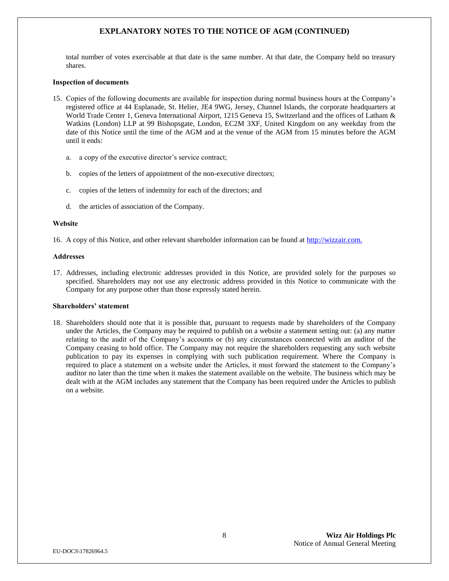## **EXPLANATORY NOTES TO THE NOTICE OF AGM (CONTINUED)**

total number of votes exercisable at that date is the same number. At that date, the Company held no treasury shares.

#### **Inspection of documents**

- 15. Copies of the following documents are available for inspection during normal business hours at the Company's registered office at 44 Esplanade, St. Helier, JE4 9WG, Jersey, Channel Islands, the corporate headquarters at World Trade Center 1, Geneva International Airport, 1215 Geneva 15, Switzerland and the offices of Latham & Watkins (London) LLP at 99 Bishopsgate, London, EC2M 3XF, United Kingdom on any weekday from the date of this Notice until the time of the AGM and at the venue of the AGM from 15 minutes before the AGM until it ends:
	- a. a copy of the executive director's service contract;
	- b. copies of the letters of appointment of the non-executive directors;
	- c. copies of the letters of indemnity for each of the directors; and
	- d. the articles of association of the Company.

#### **Website**

16. A copy of this Notice, and other relevant shareholder information can be found at [http://wizzair.com.](http://wizzair.com/)

#### **Addresses**

17. Addresses, including electronic addresses provided in this Notice, are provided solely for the purposes so specified. Shareholders may not use any electronic address provided in this Notice to communicate with the Company for any purpose other than those expressly stated herein.

#### **Shareholders' statement**

18. Shareholders should note that it is possible that, pursuant to requests made by shareholders of the Company under the Articles, the Company may be required to publish on a website a statement setting out: (a) any matter relating to the audit of the Company's accounts or (b) any circumstances connected with an auditor of the Company ceasing to hold office. The Company may not require the shareholders requesting any such website publication to pay its expenses in complying with such publication requirement. Where the Company is required to place a statement on a website under the Articles, it must forward the statement to the Company's auditor no later than the time when it makes the statement available on the website. The business which may be dealt with at the AGM includes any statement that the Company has been required under the Articles to publish on a website.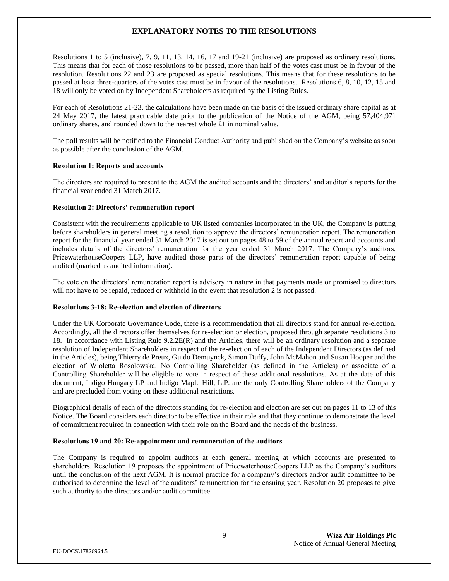## **EXPLANATORY NOTES TO THE RESOLUTIONS**

Resolutions 1 to 5 (inclusive), 7, 9, 11, 13, 14, 16, 17 and 19-21 (inclusive) are proposed as ordinary resolutions. This means that for each of those resolutions to be passed, more than half of the votes cast must be in favour of the resolution. Resolutions 22 and 23 are proposed as special resolutions. This means that for these resolutions to be passed at least three-quarters of the votes cast must be in favour of the resolutions. Resolutions 6, 8, 10, 12, 15 and 18 will only be voted on by Independent Shareholders as required by the Listing Rules.

For each of Resolutions 21-23, the calculations have been made on the basis of the issued ordinary share capital as at 24 May 2017, the latest practicable date prior to the publication of the Notice of the AGM, being 57,404,971 ordinary shares, and rounded down to the nearest whole £1 in nominal value.

The poll results will be notified to the Financial Conduct Authority and published on the Company's website as soon as possible after the conclusion of the AGM.

#### **Resolution 1: Reports and accounts**

The directors are required to present to the AGM the audited accounts and the directors' and auditor's reports for the financial year ended 31 March 2017.

### **Resolution 2: Directors' remuneration report**

Consistent with the requirements applicable to UK listed companies incorporated in the UK, the Company is putting before shareholders in general meeting a resolution to approve the directors' remuneration report. The remuneration report for the financial year ended 31 March 2017 is set out on pages 48 to 59 of the annual report and accounts and includes details of the directors' remuneration for the year ended 31 March 2017. The Company's auditors, PricewaterhouseCoopers LLP, have audited those parts of the directors' remuneration report capable of being audited (marked as audited information).

The vote on the directors' remuneration report is advisory in nature in that payments made or promised to directors will not have to be repaid, reduced or withheld in the event that resolution 2 is not passed.

#### **Resolutions 3-18: Re-election and election of directors**

Under the UK Corporate Governance Code, there is a recommendation that all directors stand for annual re-election. Accordingly, all the directors offer themselves for re-election or election, proposed through separate resolutions 3 to 18. In accordance with Listing Rule 9.2.2E(R) and the Articles, there will be an ordinary resolution and a separate resolution of Independent Shareholders in respect of the re-election of each of the Independent Directors (as defined in the Articles), being Thierry de Preux, Guido Demuynck, Simon Duffy, John McMahon and Susan Hooper and the election of Wioletta Rosołowska. No Controlling Shareholder (as defined in the Articles) or associate of a Controlling Shareholder will be eligible to vote in respect of these additional resolutions. As at the date of this document, Indigo Hungary LP and Indigo Maple Hill, L.P. are the only Controlling Shareholders of the Company and are precluded from voting on these additional restrictions.

Biographical details of each of the directors standing for re-election and election are set out on pages 11 to 13 of this Notice. The Board considers each director to be effective in their role and that they continue to demonstrate the level of commitment required in connection with their role on the Board and the needs of the business.

#### **Resolutions 19 and 20: Re-appointment and remuneration of the auditors**

The Company is required to appoint auditors at each general meeting at which accounts are presented to shareholders. Resolution 19 proposes the appointment of PricewaterhouseCoopers LLP as the Company's auditors until the conclusion of the next AGM. It is normal practice for a company's directors and/or audit committee to be authorised to determine the level of the auditors' remuneration for the ensuing year. Resolution 20 proposes to give such authority to the directors and/or audit committee.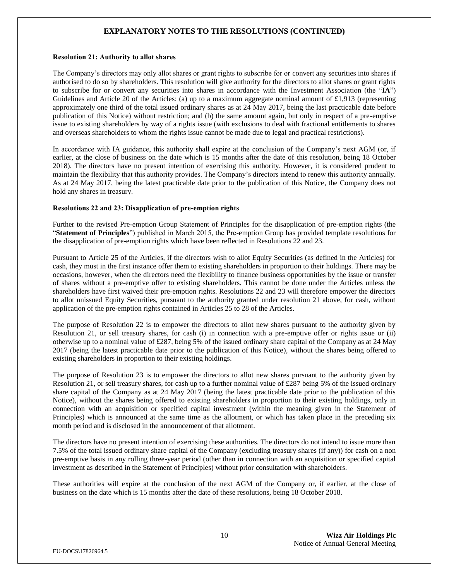## **EXPLANATORY NOTES TO THE RESOLUTIONS (CONTINUED)**

#### **Resolution 21: Authority to allot shares**

The Company's directors may only allot shares or grant rights to subscribe for or convert any securities into shares if authorised to do so by shareholders. This resolution will give authority for the directors to allot shares or grant rights to subscribe for or convert any securities into shares in accordance with the Investment Association (the "**IA**") Guidelines and Article 20 of the Articles: (a) up to a maximum aggregate nominal amount of £1,913 (representing approximately one third of the total issued ordinary shares as at 24 May 2017, being the last practicable date before publication of this Notice) without restriction; and (b) the same amount again, but only in respect of a pre-emptive issue to existing shareholders by way of a rights issue (with exclusions to deal with fractional entitlements to shares and overseas shareholders to whom the rights issue cannot be made due to legal and practical restrictions).

In accordance with IA guidance, this authority shall expire at the conclusion of the Company's next AGM (or, if earlier, at the close of business on the date which is 15 months after the date of this resolution, being 18 October 2018). The directors have no present intention of exercising this authority. However, it is considered prudent to maintain the flexibility that this authority provides. The Company's directors intend to renew this authority annually. As at 24 May 2017, being the latest practicable date prior to the publication of this Notice, the Company does not hold any shares in treasury.

## **Resolutions 22 and 23: Disapplication of pre-emption rights**

Further to the revised Pre-emption Group Statement of Principles for the disapplication of pre-emption rights (the "**Statement of Principles**") published in March 2015, the Pre-emption Group has provided template resolutions for the disapplication of pre-emption rights which have been reflected in Resolutions 22 and 23.

Pursuant to Article 25 of the Articles, if the directors wish to allot Equity Securities (as defined in the Articles) for cash, they must in the first instance offer them to existing shareholders in proportion to their holdings. There may be occasions, however, when the directors need the flexibility to finance business opportunities by the issue or transfer of shares without a pre-emptive offer to existing shareholders. This cannot be done under the Articles unless the shareholders have first waived their pre-emption rights. Resolutions 22 and 23 will therefore empower the directors to allot unissued Equity Securities, pursuant to the authority granted under resolution 21 above, for cash, without application of the pre-emption rights contained in Articles 25 to 28 of the Articles.

The purpose of Resolution 22 is to empower the directors to allot new shares pursuant to the authority given by Resolution 21, or sell treasury shares, for cash (i) in connection with a pre-emptive offer or rights issue or (ii) otherwise up to a nominal value of £287, being 5% of the issued ordinary share capital of the Company as at 24 May 2017 (being the latest practicable date prior to the publication of this Notice), without the shares being offered to existing shareholders in proportion to their existing holdings.

The purpose of Resolution 23 is to empower the directors to allot new shares pursuant to the authority given by Resolution 21, or sell treasury shares, for cash up to a further nominal value of £287 being 5% of the issued ordinary share capital of the Company as at 24 May 2017 (being the latest practicable date prior to the publication of this Notice), without the shares being offered to existing shareholders in proportion to their existing holdings, only in connection with an acquisition or specified capital investment (within the meaning given in the Statement of Principles) which is announced at the same time as the allotment, or which has taken place in the preceding six month period and is disclosed in the announcement of that allotment.

The directors have no present intention of exercising these authorities. The directors do not intend to issue more than 7.5% of the total issued ordinary share capital of the Company (excluding treasury shares (if any)) for cash on a non pre-emptive basis in any rolling three-year period (other than in connection with an acquisition or specified capital investment as described in the Statement of Principles) without prior consultation with shareholders.

These authorities will expire at the conclusion of the next AGM of the Company or, if earlier, at the close of business on the date which is 15 months after the date of these resolutions, being 18 October 2018.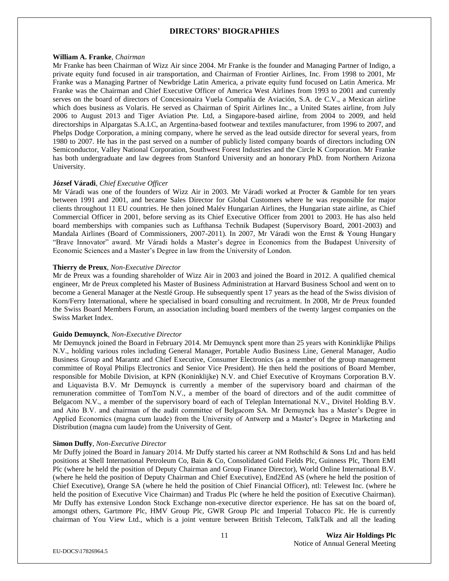## **DIRECTORS' BIOGRAPHIES**

#### **William A. Franke**, *Chairman*

Mr Franke has been Chairman of Wizz Air since 2004. Mr Franke is the founder and Managing Partner of Indigo, a private equity fund focused in air transportation, and Chairman of Frontier Airlines, Inc. From 1998 to 2001, Mr Franke was a Managing Partner of Newbridge Latin America, a private equity fund focused on Latin America. Mr Franke was the Chairman and Chief Executive Officer of America West Airlines from 1993 to 2001 and currently serves on the board of directors of Concesionaira Vuela Compañía de Aviación, S.A. de C.V., a Mexican airline which does business as Volaris. He served as Chairman of Spirit Airlines Inc., a United States airline, from July 2006 to August 2013 and Tiger Aviation Pte. Ltd, a Singapore-based airline, from 2004 to 2009, and held directorships in Alpargatas S.A.I.C, an Argentina-based footwear and textiles manufacturer, from 1996 to 2007, and Phelps Dodge Corporation, a mining company, where he served as the lead outside director for several years, from 1980 to 2007. He has in the past served on a number of publicly listed company boards of directors including ON Semiconductor, Valley National Corporation, Southwest Forest Industries and the Circle K Corporation. Mr Franke has both undergraduate and law degrees from Stanford University and an honorary PhD. from Northern Arizona University.

#### **József Váradi**, *Chief Executive Officer*

Mr Váradi was one of the founders of Wizz Air in 2003. Mr Váradi worked at Procter & Gamble for ten years between 1991 and 2001, and became Sales Director for Global Customers where he was responsible for major clients throughout 11 EU countries. He then joined Malév Hungarian Airlines, the Hungarian state airline, as Chief Commercial Officer in 2001, before serving as its Chief Executive Officer from 2001 to 2003. He has also held board memberships with companies such as Lufthansa Technik Budapest (Supervisory Board, 2001-2003) and Mandala Airlines (Board of Commissioners, 2007-2011). In 2007, Mr Váradi won the Ernst & Young Hungary "Brave Innovator" award. Mr Váradi holds a Master's degree in Economics from the Budapest University of Economic Sciences and a Master's Degree in law from the University of London.

#### **Thierry de Preux**, *Non-Executive Director*

Mr de Preux was a founding shareholder of Wizz Air in 2003 and joined the Board in 2012. A qualified chemical engineer, Mr de Preux completed his Master of Business Administration at Harvard Business School and went on to become a General Manager at the Nestlé Group. He subsequently spent 17 years as the head of the Swiss division of Korn/Ferry International, where he specialised in board consulting and recruitment. In 2008, Mr de Preux founded the Swiss Board Members Forum, an association including board members of the twenty largest companies on the Swiss Market Index.

#### **Guido Demuynck**, *Non-Executive Director*

Mr Demuynck joined the Board in February 2014. Mr Demuynck spent more than 25 years with Koninklijke Philips N.V., holding various roles including General Manager, Portable Audio Business Line, General Manager, Audio Business Group and Marantz and Chief Executive, Consumer Electronics (as a member of the group management committee of Royal Philips Electronics and Senior Vice President). He then held the positions of Board Member, responsible for Mobile Division, at KPN (Koninklijke) N.V. and Chief Executive of Kroymans Corporation B.V. and Liquavista B.V. Mr Demuynck is currently a member of the supervisory board and chairman of the remuneration committee of TomTom N.V., a member of the board of directors and of the audit committee of Belgacom N.V., a member of the supervisory board of each of Teleplan International N.V., Divitel Holding B.V. and Aito B.V. and chairman of the audit committee of Belgacom SA. Mr Demuynck has a Master's Degree in Applied Economics (magna cum laude) from the University of Antwerp and a Master's Degree in Marketing and Distribution (magna cum laude) from the University of Gent.

#### **Simon Duffy**, *Non-Executive Director*

Mr Duffy joined the Board in January 2014. Mr Duffy started his career at NM Rothschild & Sons Ltd and has held positions at Shell International Petroleum Co, Bain & Co, Consolidated Gold Fields Plc, Guinness Plc, Thorn EMI Plc (where he held the position of Deputy Chairman and Group Finance Director), World Online International B.V. (where he held the position of Deputy Chairman and Chief Executive), End2End AS (where he held the position of Chief Executive), Orange SA (where he held the position of Chief Financial Officer), ntl: Telewest Inc. (where he held the position of Executive Vice Chairman) and Tradus Plc (where he held the position of Executive Chairman). Mr Duffy has extensive London Stock Exchange non-executive director experience. He has sat on the board of, amongst others, Gartmore Plc, HMV Group Plc, GWR Group Plc and Imperial Tobacco Plc. He is currently chairman of You View Ltd., which is a joint venture between British Telecom, TalkTalk and all the leading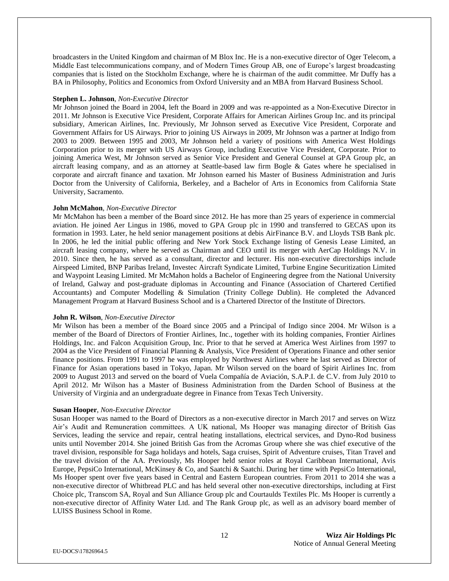broadcasters in the United Kingdom and chairman of M Blox Inc. He is a non-executive director of Oger Telecom, a Middle East telecommunications company, and of Modern Times Group AB, one of Europe's largest broadcasting companies that is listed on the Stockholm Exchange, where he is chairman of the audit committee. Mr Duffy has a BA in Philosophy, Politics and Economics from Oxford University and an MBA from Harvard Business School.

#### **Stephen L. Johnson**, *Non-Executive Director*

Mr Johnson joined the Board in 2004, left the Board in 2009 and was re-appointed as a Non-Executive Director in 2011. Mr Johnson is Executive Vice President, Corporate Affairs for American Airlines Group Inc. and its principal subsidiary, American Airlines, Inc. Previously, Mr Johnson served as Executive Vice President, Corporate and Government Affairs for US Airways. Prior to joining US Airways in 2009, Mr Johnson was a partner at Indigo from 2003 to 2009. Between 1995 and 2003, Mr Johnson held a variety of positions with America West Holdings Corporation prior to its merger with US Airways Group, including Executive Vice President, Corporate. Prior to joining America West, Mr Johnson served as Senior Vice President and General Counsel at GPA Group plc, an aircraft leasing company, and as an attorney at Seattle-based law firm Bogle & Gates where he specialised in corporate and aircraft finance and taxation. Mr Johnson earned his Master of Business Administration and Juris Doctor from the University of California, Berkeley, and a Bachelor of Arts in Economics from California State University, Sacramento.

#### **John McMahon**, *Non-Executive Director*

Mr McMahon has been a member of the Board since 2012. He has more than 25 years of experience in commercial aviation. He joined Aer Lingus in 1986, moved to GPA Group plc in 1990 and transferred to GECAS upon its formation in 1993. Later, he held senior management positions at debis AirFinance B.V. and Lloyds TSB Bank plc. In 2006, he led the initial public offering and New York Stock Exchange listing of Genesis Lease Limited, an aircraft leasing company, where he served as Chairman and CEO until its merger with AerCap Holdings N.V. in 2010. Since then, he has served as a consultant, director and lecturer. His non-executive directorships include Airspeed Limited, BNP Paribas Ireland, Investec Aircraft Syndicate Limited, Turbine Engine Securitization Limited and Waypoint Leasing Limited. Mr McMahon holds a Bachelor of Engineering degree from the National University of Ireland, Galway and post-graduate diplomas in Accounting and Finance (Association of Chartered Certified Accountants) and Computer Modelling & Simulation (Trinity College Dublin). He completed the Advanced Management Program at Harvard Business School and is a Chartered Director of the Institute of Directors.

#### **John R. Wilson**, *Non-Executive Director*

Mr Wilson has been a member of the Board since 2005 and a Principal of Indigo since 2004. Mr Wilson is a member of the Board of Directors of Frontier Airlines, Inc., together with its holding companies, Frontier Airlines Holdings, Inc. and Falcon Acquisition Group, Inc. Prior to that he served at America West Airlines from 1997 to 2004 as the Vice President of Financial Planning & Analysis, Vice President of Operations Finance and other senior finance positions. From 1991 to 1997 he was employed by Northwest Airlines where he last served as Director of Finance for Asian operations based in Tokyo, Japan. Mr Wilson served on the board of Spirit Airlines Inc. from 2009 to August 2013 and served on the board of Vuela Compañía de Aviación, S.A.P.I. de C.V. from July 2010 to April 2012. Mr Wilson has a Master of Business Administration from the Darden School of Business at the University of Virginia and an undergraduate degree in Finance from Texas Tech University.

#### **Susan Hooper**, *Non-Executive Director*

Susan Hooper was named to the Board of Directors as a non-executive director in March 2017 and serves on Wizz Air's Audit and Remuneration committees. A UK national, Ms Hooper was managing director of British Gas Services, leading the service and repair, central heating installations, electrical services, and Dyno-Rod business units until November 2014. She joined British Gas from the Acromas Group where she was chief executive of the travel division, responsible for Saga holidays and hotels, Saga cruises, Spirit of Adventure cruises, Titan Travel and the travel division of the AA. Previously, Ms Hooper held senior roles at Royal Caribbean International, Avis Europe, PepsiCo International, McKinsey & Co, and Saatchi & Saatchi. During her time with PepsiCo International, Ms Hooper spent over five years based in Central and Eastern European countries. From 2011 to 2014 she was a non-executive director of Whitbread PLC and has held several other non-executive directorships, including at First Choice plc, Transcom SA, Royal and Sun Alliance Group plc and Courtaulds Textiles Plc. Ms Hooper is currently a non-executive director of Affinity Water Ltd. and The Rank Group plc, as well as an advisory board member of LUISS Business School in Rome.

12 **Wizz Air Holdings Plc**  Notice of Annual General Meeting